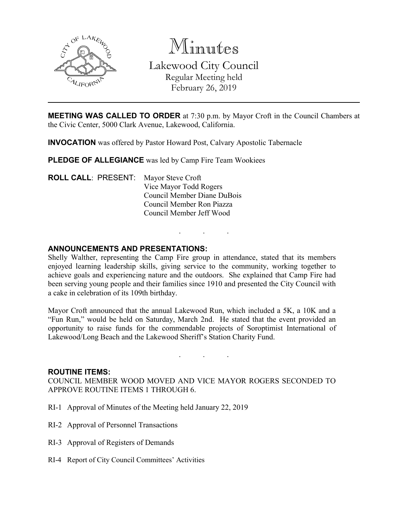

Minutes Lakewood City Council Regular Meeting held February 26, 2019

**MEETING WAS CALLED TO ORDER** at 7:30 p.m. by Mayor Croft in the Council Chambers at the Civic Center, 5000 Clark Avenue, Lakewood, California.

**INVOCATION** was offered by Pastor Howard Post, Calvary Apostolic Tabernacle

**PLEDGE OF ALLEGIANCE** was led by Camp Fire Team Wookiees

**ROLL CALL**: PRESENT: Mayor Steve Croft Vice Mayor Todd Rogers Council Member Diane DuBois Council Member Ron Piazza Council Member Jeff Wood

### **ANNOUNCEMENTS AND PRESENTATIONS:**

Shelly Walther, representing the Camp Fire group in attendance, stated that its members enjoyed learning leadership skills, giving service to the community, working together to achieve goals and experiencing nature and the outdoors. She explained that Camp Fire had been serving young people and their families since 1910 and presented the City Council with a cake in celebration of its 109th birthday.

. . .

Mayor Croft announced that the annual Lakewood Run, which included a 5K, a 10K and a "Fun Run," would be held on Saturday, March 2nd. He stated that the event provided an opportunity to raise funds for the commendable projects of Soroptimist International of Lakewood/Long Beach and the Lakewood Sheriff's Station Charity Fund.

. . .

#### **ROUTINE ITEMS:**

COUNCIL MEMBER WOOD MOVED AND VICE MAYOR ROGERS SECONDED TO APPROVE ROUTINE ITEMS 1 THROUGH 6.

- RI-1 Approval of Minutes of the Meeting held January 22, 2019
- RI-2 Approval of Personnel Transactions
- RI-3 Approval of Registers of Demands
- RI-4 Report of City Council Committees' Activities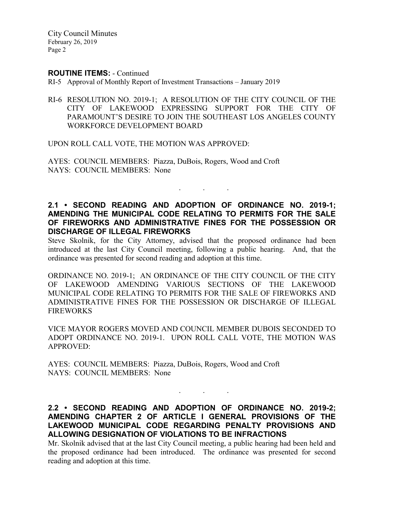#### **ROUTINE ITEMS:** - Continued

RI-5 Approval of Monthly Report of Investment Transactions – January 2019

RI-6 RESOLUTION NO. 2019-1; A RESOLUTION OF THE CITY COUNCIL OF THE CITY OF LAKEWOOD EXPRESSING SUPPORT FOR THE CITY OF PARAMOUNT'S DESIRE TO JOIN THE SOUTHEAST LOS ANGELES COUNTY WORKFORCE DEVELOPMENT BOARD

UPON ROLL CALL VOTE, THE MOTION WAS APPROVED:

AYES: COUNCIL MEMBERS: Piazza, DuBois, Rogers, Wood and Croft NAYS: COUNCIL MEMBERS: None

## **2.1 • SECOND READING AND ADOPTION OF ORDINANCE NO. 2019-1; AMENDING THE MUNICIPAL CODE RELATING TO PERMITS FOR THE SALE OF FIREWORKS AND ADMINISTRATIVE FINES FOR THE POSSESSION OR DISCHARGE OF ILLEGAL FIREWORKS**

. . .

Steve Skolnik, for the City Attorney, advised that the proposed ordinance had been introduced at the last City Council meeting, following a public hearing. And, that the ordinance was presented for second reading and adoption at this time.

ORDINANCE NO. 2019-1; AN ORDINANCE OF THE CITY COUNCIL OF THE CITY OF LAKEWOOD AMENDING VARIOUS SECTIONS OF THE LAKEWOOD MUNICIPAL CODE RELATING TO PERMITS FOR THE SALE OF FIREWORKS AND ADMINISTRATIVE FINES FOR THE POSSESSION OR DISCHARGE OF ILLEGAL FIREWORKS

VICE MAYOR ROGERS MOVED AND COUNCIL MEMBER DUBOIS SECONDED TO ADOPT ORDINANCE NO. 2019-1. UPON ROLL CALL VOTE, THE MOTION WAS APPROVED:

AYES: COUNCIL MEMBERS: Piazza, DuBois, Rogers, Wood and Croft NAYS: COUNCIL MEMBERS: None

**2.2 • SECOND READING AND ADOPTION OF ORDINANCE NO. 2019-2; AMENDING CHAPTER 2 OF ARTICLE I GENERAL PROVISIONS OF THE LAKEWOOD MUNICIPAL CODE REGARDING PENALTY PROVISIONS AND ALLOWING DESIGNATION OF VIOLATIONS TO BE INFRACTIONS**

. . .

Mr. Skolnik advised that at the last City Council meeting, a public hearing had been held and the proposed ordinance had been introduced. The ordinance was presented for second reading and adoption at this time.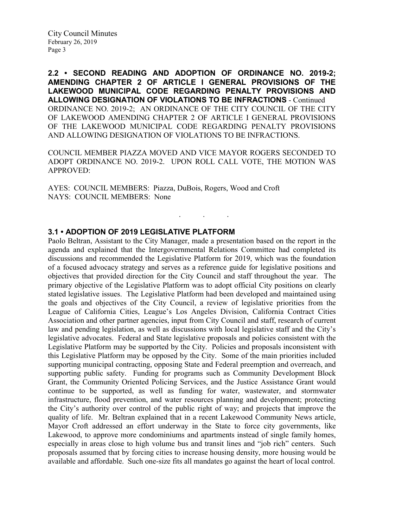**2.2 • SECOND READING AND ADOPTION OF ORDINANCE NO. 2019-2; AMENDING CHAPTER 2 OF ARTICLE I GENERAL PROVISIONS OF THE LAKEWOOD MUNICIPAL CODE REGARDING PENALTY PROVISIONS AND ALLOWING DESIGNATION OF VIOLATIONS TO BE INFRACTIONS** - Continued ORDINANCE NO. 2019-2; AN ORDINANCE OF THE CITY COUNCIL OF THE CITY OF LAKEWOOD AMENDING CHAPTER 2 OF ARTICLE I GENERAL PROVISIONS OF THE LAKEWOOD MUNICIPAL CODE REGARDING PENALTY PROVISIONS AND ALLOWING DESIGNATION OF VIOLATIONS TO BE INFRACTIONS.

COUNCIL MEMBER PIAZZA MOVED AND VICE MAYOR ROGERS SECONDED TO ADOPT ORDINANCE NO. 2019-2. UPON ROLL CALL VOTE, THE MOTION WAS APPROVED:

. . .

AYES: COUNCIL MEMBERS: Piazza, DuBois, Rogers, Wood and Croft NAYS: COUNCIL MEMBERS: None

#### **3.1 • ADOPTION OF 2019 LEGISLATIVE PLATFORM**

Paolo Beltran, Assistant to the City Manager, made a presentation based on the report in the agenda and explained that the Intergovernmental Relations Committee had completed its discussions and recommended the Legislative Platform for 2019, which was the foundation of a focused advocacy strategy and serves as a reference guide for legislative positions and objectives that provided direction for the City Council and staff throughout the year. The primary objective of the Legislative Platform was to adopt official City positions on clearly stated legislative issues. The Legislative Platform had been developed and maintained using the goals and objectives of the City Council, a review of legislative priorities from the League of California Cities, League's Los Angeles Division, California Contract Cities Association and other partner agencies, input from City Council and staff, research of current law and pending legislation, as well as discussions with local legislative staff and the City's legislative advocates. Federal and State legislative proposals and policies consistent with the Legislative Platform may be supported by the City. Policies and proposals inconsistent with this Legislative Platform may be opposed by the City. Some of the main priorities included supporting municipal contracting, opposing State and Federal preemption and overreach, and supporting public safety. Funding for programs such as Community Development Block Grant, the Community Oriented Policing Services, and the Justice Assistance Grant would continue to be supported, as well as funding for water, wastewater, and stormwater infrastructure, flood prevention, and water resources planning and development; protecting the City's authority over control of the public right of way; and projects that improve the quality of life. Mr. Beltran explained that in a recent Lakewood Community News article, Mayor Croft addressed an effort underway in the State to force city governments, like Lakewood, to approve more condominiums and apartments instead of single family homes, especially in areas close to high volume bus and transit lines and "job rich" centers. Such proposals assumed that by forcing cities to increase housing density, more housing would be available and affordable. Such one-size fits all mandates go against the heart of local control.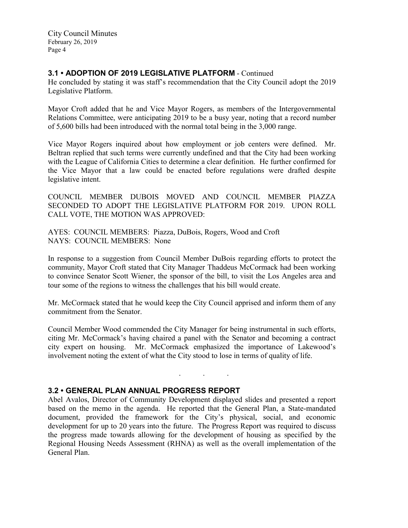# **3.1 • ADOPTION OF 2019 LEGISLATIVE PLATFORM** - Continued

He concluded by stating it was staff's recommendation that the City Council adopt the 2019 Legislative Platform.

Mayor Croft added that he and Vice Mayor Rogers, as members of the Intergovernmental Relations Committee, were anticipating 2019 to be a busy year, noting that a record number of 5,600 bills had been introduced with the normal total being in the 3,000 range.

Vice Mayor Rogers inquired about how employment or job centers were defined. Mr. Beltran replied that such terms were currently undefined and that the City had been working with the League of California Cities to determine a clear definition. He further confirmed for the Vice Mayor that a law could be enacted before regulations were drafted despite legislative intent.

COUNCIL MEMBER DUBOIS MOVED AND COUNCIL MEMBER PIAZZA SECONDED TO ADOPT THE LEGISLATIVE PLATFORM FOR 2019. UPON ROLL CALL VOTE, THE MOTION WAS APPROVED:

AYES: COUNCIL MEMBERS: Piazza, DuBois, Rogers, Wood and Croft NAYS: COUNCIL MEMBERS: None

In response to a suggestion from Council Member DuBois regarding efforts to protect the community, Mayor Croft stated that City Manager Thaddeus McCormack had been working to convince Senator Scott Wiener, the sponsor of the bill, to visit the Los Angeles area and tour some of the regions to witness the challenges that his bill would create.

Mr. McCormack stated that he would keep the City Council apprised and inform them of any commitment from the Senator.

Council Member Wood commended the City Manager for being instrumental in such efforts, citing Mr. McCormack's having chaired a panel with the Senator and becoming a contract city expert on housing. Mr. McCormack emphasized the importance of Lakewood's involvement noting the extent of what the City stood to lose in terms of quality of life.

. . .

# **3.2 • GENERAL PLAN ANNUAL PROGRESS REPORT**

Abel Avalos, Director of Community Development displayed slides and presented a report based on the memo in the agenda. He reported that the General Plan, a State-mandated document, provided the framework for the City's physical, social, and economic development for up to 20 years into the future. The Progress Report was required to discuss the progress made towards allowing for the development of housing as specified by the Regional Housing Needs Assessment (RHNA) as well as the overall implementation of the General Plan.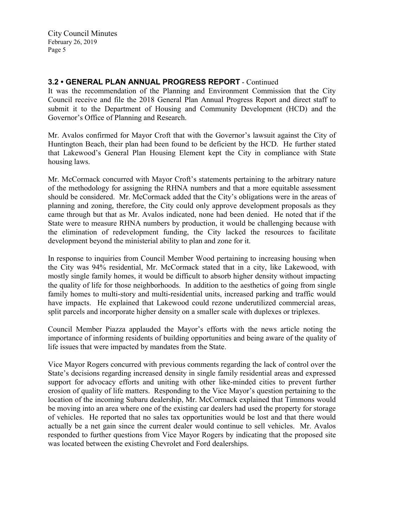# **3.2 • GENERAL PLAN ANNUAL PROGRESS REPORT** - Continued

It was the recommendation of the Planning and Environment Commission that the City Council receive and file the 2018 General Plan Annual Progress Report and direct staff to submit it to the Department of Housing and Community Development (HCD) and the Governor's Office of Planning and Research.

Mr. Avalos confirmed for Mayor Croft that with the Governor's lawsuit against the City of Huntington Beach, their plan had been found to be deficient by the HCD. He further stated that Lakewood's General Plan Housing Element kept the City in compliance with State housing laws.

Mr. McCormack concurred with Mayor Croft's statements pertaining to the arbitrary nature of the methodology for assigning the RHNA numbers and that a more equitable assessment should be considered. Mr. McCormack added that the City's obligations were in the areas of planning and zoning, therefore, the City could only approve development proposals as they came through but that as Mr. Avalos indicated, none had been denied. He noted that if the State were to measure RHNA numbers by production, it would be challenging because with the elimination of redevelopment funding, the City lacked the resources to facilitate development beyond the ministerial ability to plan and zone for it.

In response to inquiries from Council Member Wood pertaining to increasing housing when the City was 94% residential, Mr. McCormack stated that in a city, like Lakewood, with mostly single family homes, it would be difficult to absorb higher density without impacting the quality of life for those neighborhoods. In addition to the aesthetics of going from single family homes to multi-story and multi-residential units, increased parking and traffic would have impacts. He explained that Lakewood could rezone underutilized commercial areas, split parcels and incorporate higher density on a smaller scale with duplexes or triplexes.

Council Member Piazza applauded the Mayor's efforts with the news article noting the importance of informing residents of building opportunities and being aware of the quality of life issues that were impacted by mandates from the State.

Vice Mayor Rogers concurred with previous comments regarding the lack of control over the State's decisions regarding increased density in single family residential areas and expressed support for advocacy efforts and uniting with other like-minded cities to prevent further erosion of quality of life matters. Responding to the Vice Mayor's question pertaining to the location of the incoming Subaru dealership, Mr. McCormack explained that Timmons would be moving into an area where one of the existing car dealers had used the property for storage of vehicles. He reported that no sales tax opportunities would be lost and that there would actually be a net gain since the current dealer would continue to sell vehicles. Mr. Avalos responded to further questions from Vice Mayor Rogers by indicating that the proposed site was located between the existing Chevrolet and Ford dealerships.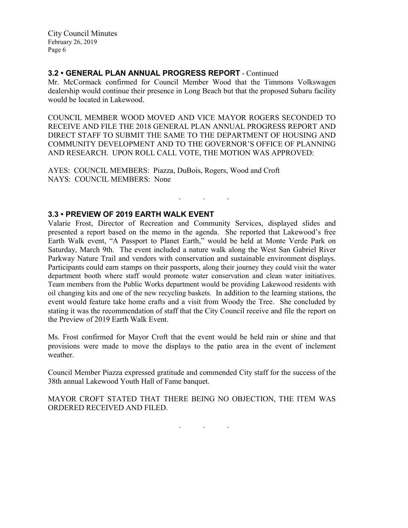## **3.2 • GENERAL PLAN ANNUAL PROGRESS REPORT** - Continued

Mr. McCormack confirmed for Council Member Wood that the Timmons Volkswagen dealership would continue their presence in Long Beach but that the proposed Subaru facility would be located in Lakewood.

COUNCIL MEMBER WOOD MOVED AND VICE MAYOR ROGERS SECONDED TO RECEIVE AND FILE THE 2018 GENERAL PLAN ANNUAL PROGRESS REPORT AND DIRECT STAFF TO SUBMIT THE SAME TO THE DEPARTMENT OF HOUSING AND COMMUNITY DEVELOPMENT AND TO THE GOVERNOR'S OFFICE OF PLANNING AND RESEARCH. UPON ROLL CALL VOTE, THE MOTION WAS APPROVED:

. . .

AYES: COUNCIL MEMBERS: Piazza, DuBois, Rogers, Wood and Croft NAYS: COUNCIL MEMBERS: None

# **3.3 • PREVIEW OF 2019 EARTH WALK EVENT**

Valarie Frost, Director of Recreation and Community Services, displayed slides and presented a report based on the memo in the agenda. She reported that Lakewood's free Earth Walk event, "A Passport to Planet Earth," would be held at Monte Verde Park on Saturday, March 9th. The event included a nature walk along the West San Gabriel River Parkway Nature Trail and vendors with conservation and sustainable environment displays. Participants could earn stamps on their passports, along their journey they could visit the water department booth where staff would promote water conservation and clean water initiatives. Team members from the Public Works department would be providing Lakewood residents with oil changing kits and one of the new recycling baskets. In addition to the learning stations, the event would feature take home crafts and a visit from Woody the Tree. She concluded by stating it was the recommendation of staff that the City Council receive and file the report on the Preview of 2019 Earth Walk Event.

Ms. Frost confirmed for Mayor Croft that the event would be held rain or shine and that provisions were made to move the displays to the patio area in the event of inclement weather.

Council Member Piazza expressed gratitude and commended City staff for the success of the 38th annual Lakewood Youth Hall of Fame banquet.

MAYOR CROFT STATED THAT THERE BEING NO OBJECTION, THE ITEM WAS ORDERED RECEIVED AND FILED.

. . .